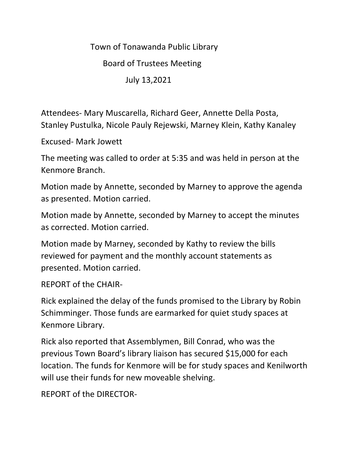Town of Tonawanda Public Library

Board of Trustees Meeting

July 13,2021

Attendees- Mary Muscarella, Richard Geer, Annette Della Posta, Stanley Pustulka, Nicole Pauly Rejewski, Marney Klein, Kathy Kanaley

Excused- Mark Jowett

The meeting was called to order at 5:35 and was held in person at the Kenmore Branch.

Motion made by Annette, seconded by Marney to approve the agenda as presented. Motion carried.

Motion made by Annette, seconded by Marney to accept the minutes as corrected. Motion carried.

Motion made by Marney, seconded by Kathy to review the bills reviewed for payment and the monthly account statements as presented. Motion carried.

REPORT of the CHAIR-

Rick explained the delay of the funds promised to the Library by Robin Schimminger. Those funds are earmarked for quiet study spaces at Kenmore Library.

Rick also reported that Assemblymen, Bill Conrad, who was the previous Town Board's library liaison has secured \$15,000 for each location. The funds for Kenmore will be for study spaces and Kenilworth will use their funds for new moveable shelving.

REPORT of the DIRECTOR-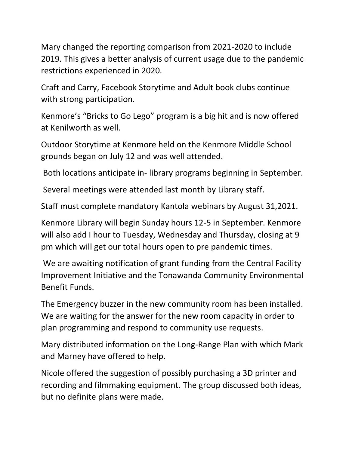Mary changed the reporting comparison from 2021-2020 to include 2019. This gives a better analysis of current usage due to the pandemic restrictions experienced in 2020.

Craft and Carry, Facebook Storytime and Adult book clubs continue with strong participation.

Kenmore's "Bricks to Go Lego" program is a big hit and is now offered at Kenilworth as well.

Outdoor Storytime at Kenmore held on the Kenmore Middle School grounds began on July 12 and was well attended.

Both locations anticipate in- library programs beginning in September.

Several meetings were attended last month by Library staff.

Staff must complete mandatory Kantola webinars by August 31,2021.

Kenmore Library will begin Sunday hours 12-5 in September. Kenmore will also add I hour to Tuesday, Wednesday and Thursday, closing at 9 pm which will get our total hours open to pre pandemic times.

We are awaiting notification of grant funding from the Central Facility Improvement Initiative and the Tonawanda Community Environmental Benefit Funds.

The Emergency buzzer in the new community room has been installed. We are waiting for the answer for the new room capacity in order to plan programming and respond to community use requests.

Mary distributed information on the Long-Range Plan with which Mark and Marney have offered to help.

Nicole offered the suggestion of possibly purchasing a 3D printer and recording and filmmaking equipment. The group discussed both ideas, but no definite plans were made.